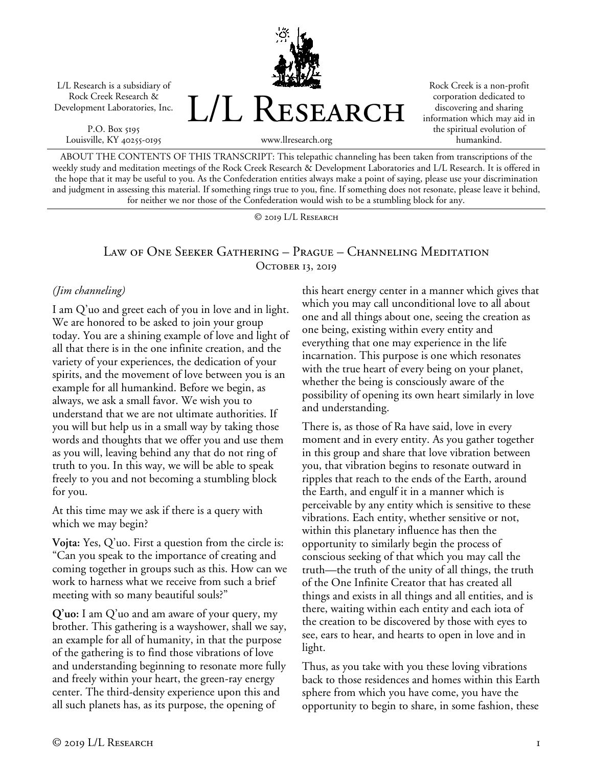L/L Research is a subsidiary of Rock Creek Research & Development Laboratories, Inc.

P.O. Box 5195 Louisville, KY 40255-0195 L/L Research

Rock Creek is a non-profit corporation dedicated to discovering and sharing information which may aid in the spiritual evolution of humankind.

ABOUT THE CONTENTS OF THIS TRANSCRIPT: This telepathic channeling has been taken from transcriptions of the weekly study and meditation meetings of the Rock Creek Research & Development Laboratories and L/L Research. It is offered in the hope that it may be useful to you. As the Confederation entities always make a point of saying, please use your discrimination and judgment in assessing this material. If something rings true to you, fine. If something does not resonate, please leave it behind, for neither we nor those of the Confederation would wish to be a stumbling block for any.

www.llresearch.org

© 2019 L/L Research

## Law of One Seeker Gathering – Prague – Channeling Meditation OCTOBER 13, 2019

## *(Jim channeling)*

I am Q'uo and greet each of you in love and in light. We are honored to be asked to join your group today. You are a shining example of love and light of all that there is in the one infinite creation, and the variety of your experiences, the dedication of your spirits, and the movement of love between you is an example for all humankind. Before we begin, as always, we ask a small favor. We wish you to understand that we are not ultimate authorities. If you will but help us in a small way by taking those words and thoughts that we offer you and use them as you will, leaving behind any that do not ring of truth to you. In this way, we will be able to speak freely to you and not becoming a stumbling block for you.

At this time may we ask if there is a query with which we may begin?

**Vojta:** Yes, Q'uo. First a question from the circle is: "Can you speak to the importance of creating and coming together in groups such as this. How can we work to harness what we receive from such a brief meeting with so many beautiful souls?"

**Q'uo:** I am Q'uo and am aware of your query, my brother. This gathering is a wayshower, shall we say, an example for all of humanity, in that the purpose of the gathering is to find those vibrations of love and understanding beginning to resonate more fully and freely within your heart, the green-ray energy center. The third-density experience upon this and all such planets has, as its purpose, the opening of

this heart energy center in a manner which gives that which you may call unconditional love to all about one and all things about one, seeing the creation as one being, existing within every entity and everything that one may experience in the life incarnation. This purpose is one which resonates with the true heart of every being on your planet, whether the being is consciously aware of the possibility of opening its own heart similarly in love and understanding.

There is, as those of Ra have said, love in every moment and in every entity. As you gather together in this group and share that love vibration between you, that vibration begins to resonate outward in ripples that reach to the ends of the Earth, around the Earth, and engulf it in a manner which is perceivable by any entity which is sensitive to these vibrations. Each entity, whether sensitive or not, within this planetary influence has then the opportunity to similarly begin the process of conscious seeking of that which you may call the truth—the truth of the unity of all things, the truth of the One Infinite Creator that has created all things and exists in all things and all entities, and is there, waiting within each entity and each iota of the creation to be discovered by those with eyes to see, ears to hear, and hearts to open in love and in light.

Thus, as you take with you these loving vibrations back to those residences and homes within this Earth sphere from which you have come, you have the opportunity to begin to share, in some fashion, these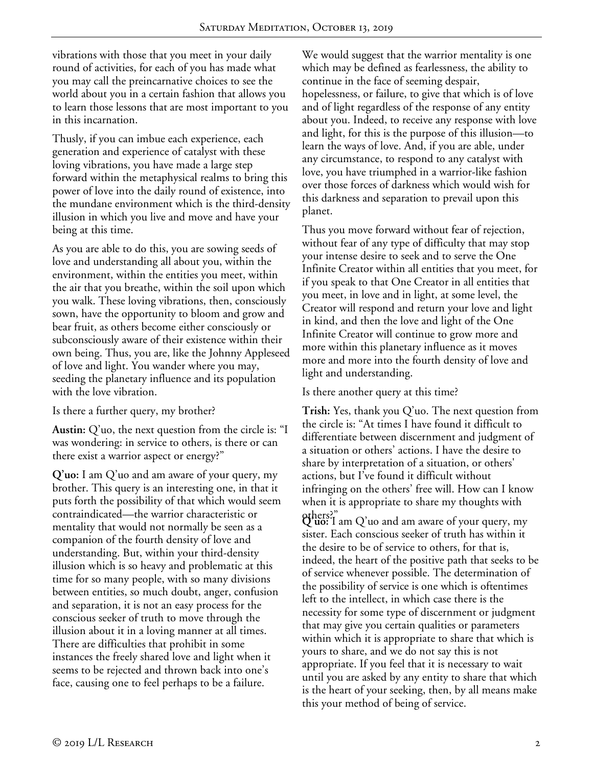vibrations with those that you meet in your daily round of activities, for each of you has made what you may call the preincarnative choices to see the world about you in a certain fashion that allows you to learn those lessons that are most important to you in this incarnation.

Thusly, if you can imbue each experience, each generation and experience of catalyst with these loving vibrations, you have made a large step forward within the metaphysical realms to bring this power of love into the daily round of existence, into the mundane environment which is the third-density illusion in which you live and move and have your being at this time.

As you are able to do this, you are sowing seeds of love and understanding all about you, within the environment, within the entities you meet, within the air that you breathe, within the soil upon which you walk. These loving vibrations, then, consciously sown, have the opportunity to bloom and grow and bear fruit, as others become either consciously or subconsciously aware of their existence within their own being. Thus, you are, like the Johnny Appleseed of love and light. You wander where you may, seeding the planetary influence and its population with the love vibration.

Is there a further query, my brother?

**Austin:** Q'uo, the next question from the circle is: "I was wondering: in service to others, is there or can there exist a warrior aspect or energy?"

**Q'uo:** I am Q'uo and am aware of your query, my brother. This query is an interesting one, in that it puts forth the possibility of that which would seem contraindicated—the warrior characteristic or mentality that would not normally be seen as a companion of the fourth density of love and understanding. But, within your third-density illusion which is so heavy and problematic at this time for so many people, with so many divisions between entities, so much doubt, anger, confusion and separation, it is not an easy process for the conscious seeker of truth to move through the illusion about it in a loving manner at all times. There are difficulties that prohibit in some instances the freely shared love and light when it seems to be rejected and thrown back into one's face, causing one to feel perhaps to be a failure.

We would suggest that the warrior mentality is one which may be defined as fearlessness, the ability to continue in the face of seeming despair, hopelessness, or failure, to give that which is of love and of light regardless of the response of any entity about you. Indeed, to receive any response with love and light, for this is the purpose of this illusion—to learn the ways of love. And, if you are able, under any circumstance, to respond to any catalyst with love, you have triumphed in a warrior-like fashion over those forces of darkness which would wish for this darkness and separation to prevail upon this planet.

Thus you move forward without fear of rejection, without fear of any type of difficulty that may stop your intense desire to seek and to serve the One Infinite Creator within all entities that you meet, for if you speak to that One Creator in all entities that you meet, in love and in light, at some level, the Creator will respond and return your love and light in kind, and then the love and light of the One Infinite Creator will continue to grow more and more within this planetary influence as it moves more and more into the fourth density of love and light and understanding.

Is there another query at this time?

**Trish:** Yes, thank you Q'uo. The next question from the circle is: "At times I have found it difficult to differentiate between discernment and judgment of a situation or others' actions. I have the desire to share by interpretation of a situation, or others' actions, but I've found it difficult without infringing on the others' free will. How can I know when it is appropriate to share my thoughts with

others?" **Q'uo:** I am Q'uo and am aware of your query, my sister. Each conscious seeker of truth has within it the desire to be of service to others, for that is, indeed, the heart of the positive path that seeks to be of service whenever possible. The determination of the possibility of service is one which is oftentimes left to the intellect, in which case there is the necessity for some type of discernment or judgment that may give you certain qualities or parameters within which it is appropriate to share that which is yours to share, and we do not say this is not appropriate. If you feel that it is necessary to wait until you are asked by any entity to share that which is the heart of your seeking, then, by all means make this your method of being of service.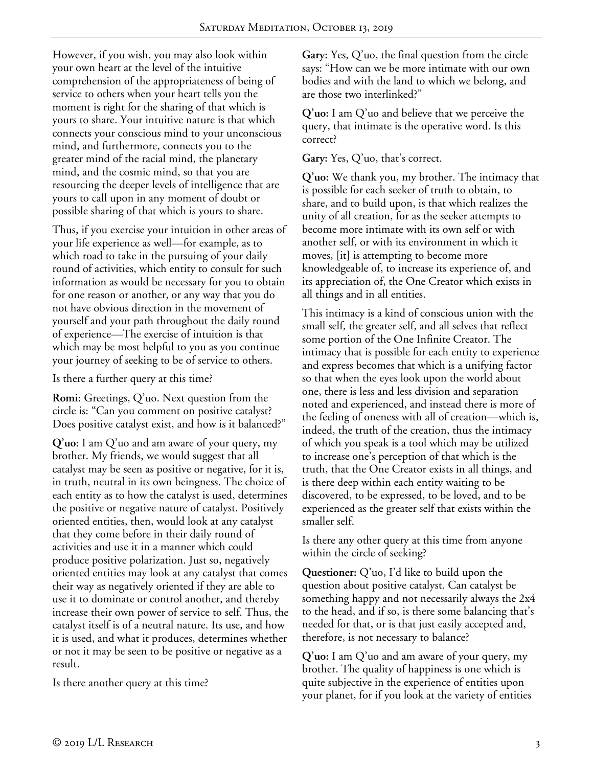However, if you wish, you may also look within your own heart at the level of the intuitive comprehension of the appropriateness of being of service to others when your heart tells you the moment is right for the sharing of that which is yours to share. Your intuitive nature is that which connects your conscious mind to your unconscious mind, and furthermore, connects you to the greater mind of the racial mind, the planetary mind, and the cosmic mind, so that you are resourcing the deeper levels of intelligence that are yours to call upon in any moment of doubt or possible sharing of that which is yours to share.

Thus, if you exercise your intuition in other areas of your life experience as well—for example, as to which road to take in the pursuing of your daily round of activities, which entity to consult for such information as would be necessary for you to obtain for one reason or another, or any way that you do not have obvious direction in the movement of yourself and your path throughout the daily round of experience—The exercise of intuition is that which may be most helpful to you as you continue your journey of seeking to be of service to others.

Is there a further query at this time?

**Romi:** Greetings, Q'uo. Next question from the circle is: "Can you comment on positive catalyst? Does positive catalyst exist, and how is it balanced?"

**Q'uo:** I am Q'uo and am aware of your query, my brother. My friends, we would suggest that all catalyst may be seen as positive or negative, for it is, in truth, neutral in its own beingness. The choice of each entity as to how the catalyst is used, determines the positive or negative nature of catalyst. Positively oriented entities, then, would look at any catalyst that they come before in their daily round of activities and use it in a manner which could produce positive polarization. Just so, negatively oriented entities may look at any catalyst that comes their way as negatively oriented if they are able to use it to dominate or control another, and thereby increase their own power of service to self. Thus, the catalyst itself is of a neutral nature. Its use, and how it is used, and what it produces, determines whether or not it may be seen to be positive or negative as a result.

Is there another query at this time?

**Gary:** Yes, Q'uo, the final question from the circle says: "How can we be more intimate with our own bodies and with the land to which we belong, and are those two interlinked?"

**Q'uo:** I am Q'uo and believe that we perceive the query, that intimate is the operative word. Is this correct?

## **Gary:** Yes, Q'uo, that's correct.

**Q'uo:** We thank you, my brother. The intimacy that is possible for each seeker of truth to obtain, to share, and to build upon, is that which realizes the unity of all creation, for as the seeker attempts to become more intimate with its own self or with another self, or with its environment in which it moves, [it] is attempting to become more knowledgeable of, to increase its experience of, and its appreciation of, the One Creator which exists in all things and in all entities.

This intimacy is a kind of conscious union with the small self, the greater self, and all selves that reflect some portion of the One Infinite Creator. The intimacy that is possible for each entity to experience and express becomes that which is a unifying factor so that when the eyes look upon the world about one, there is less and less division and separation noted and experienced, and instead there is more of the feeling of oneness with all of creation—which is, indeed, the truth of the creation, thus the intimacy of which you speak is a tool which may be utilized to increase one's perception of that which is the truth, that the One Creator exists in all things, and is there deep within each entity waiting to be discovered, to be expressed, to be loved, and to be experienced as the greater self that exists within the smaller self.

Is there any other query at this time from anyone within the circle of seeking?

**Questioner:** Q'uo, I'd like to build upon the question about positive catalyst. Can catalyst be something happy and not necessarily always the 2x4 to the head, and if so, is there some balancing that's needed for that, or is that just easily accepted and, therefore, is not necessary to balance?

**Q'uo:** I am Q'uo and am aware of your query, my brother. The quality of happiness is one which is quite subjective in the experience of entities upon your planet, for if you look at the variety of entities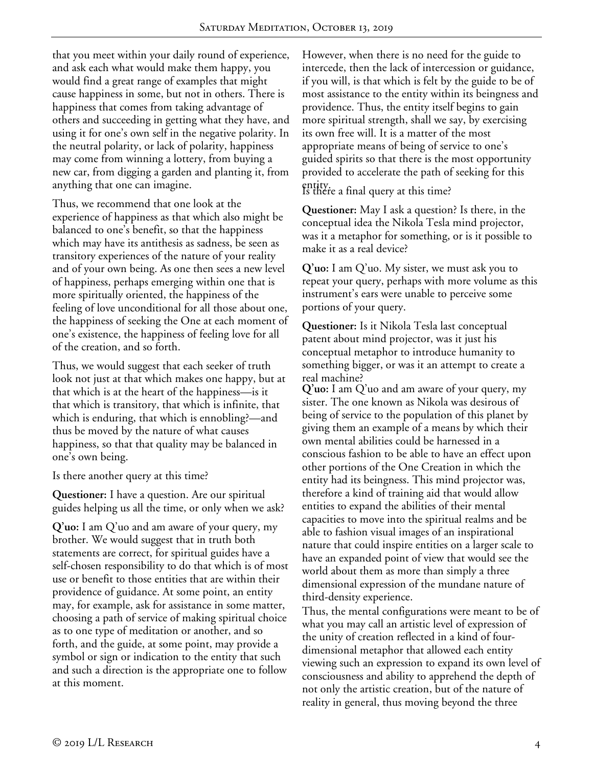that you meet within your daily round of experience, and ask each what would make them happy, you would find a great range of examples that might cause happiness in some, but not in others. There is happiness that comes from taking advantage of others and succeeding in getting what they have, and using it for one's own self in the negative polarity. In the neutral polarity, or lack of polarity, happiness may come from winning a lottery, from buying a new car, from digging a garden and planting it, from anything that one can imagine.

Thus, we recommend that one look at the experience of happiness as that which also might be balanced to one's benefit, so that the happiness which may have its antithesis as sadness, be seen as transitory experiences of the nature of your reality and of your own being. As one then sees a new level of happiness, perhaps emerging within one that is more spiritually oriented, the happiness of the feeling of love unconditional for all those about one, the happiness of seeking the One at each moment of one's existence, the happiness of feeling love for all of the creation, and so forth.

Thus, we would suggest that each seeker of truth look not just at that which makes one happy, but at that which is at the heart of the happiness—is it that which is transitory, that which is infinite, that which is enduring, that which is ennobling?—and thus be moved by the nature of what causes happiness, so that that quality may be balanced in one's own being.

Is there another query at this time?

**Questioner:** I have a question. Are our spiritual guides helping us all the time, or only when we ask?

**Q'uo:** I am Q'uo and am aware of your query, my brother. We would suggest that in truth both statements are correct, for spiritual guides have a self-chosen responsibility to do that which is of most use or benefit to those entities that are within their providence of guidance. At some point, an entity may, for example, ask for assistance in some matter, choosing a path of service of making spiritual choice as to one type of meditation or another, and so forth, and the guide, at some point, may provide a symbol or sign or indication to the entity that such and such a direction is the appropriate one to follow at this moment.

However, when there is no need for the guide to intercede, then the lack of intercession or guidance, if you will, is that which is felt by the guide to be of most assistance to the entity within its beingness and providence. Thus, the entity itself begins to gain more spiritual strength, shall we say, by exercising its own free will. It is a matter of the most appropriate means of being of service to one's guided spirits so that there is the most opportunity provided to accelerate the path of seeking for this

entity. Is there a final query at this time?

**Questioner:** May I ask a question? Is there, in the conceptual idea the Nikola Tesla mind projector, was it a metaphor for something, or is it possible to make it as a real device?

**Q'uo:** I am Q'uo. My sister, we must ask you to repeat your query, perhaps with more volume as this instrument's ears were unable to perceive some portions of your query.

**Questioner:** Is it Nikola Tesla last conceptual patent about mind projector, was it just his conceptual metaphor to introduce humanity to something bigger, or was it an attempt to create a real machine?

**Q'uo:** I am Q'uo and am aware of your query, my sister. The one known as Nikola was desirous of being of service to the population of this planet by giving them an example of a means by which their own mental abilities could be harnessed in a conscious fashion to be able to have an effect upon other portions of the One Creation in which the entity had its beingness. This mind projector was, therefore a kind of training aid that would allow entities to expand the abilities of their mental capacities to move into the spiritual realms and be able to fashion visual images of an inspirational nature that could inspire entities on a larger scale to have an expanded point of view that would see the world about them as more than simply a three dimensional expression of the mundane nature of third-density experience.

Thus, the mental configurations were meant to be of what you may call an artistic level of expression of the unity of creation reflected in a kind of fourdimensional metaphor that allowed each entity viewing such an expression to expand its own level of consciousness and ability to apprehend the depth of not only the artistic creation, but of the nature of reality in general, thus moving beyond the three